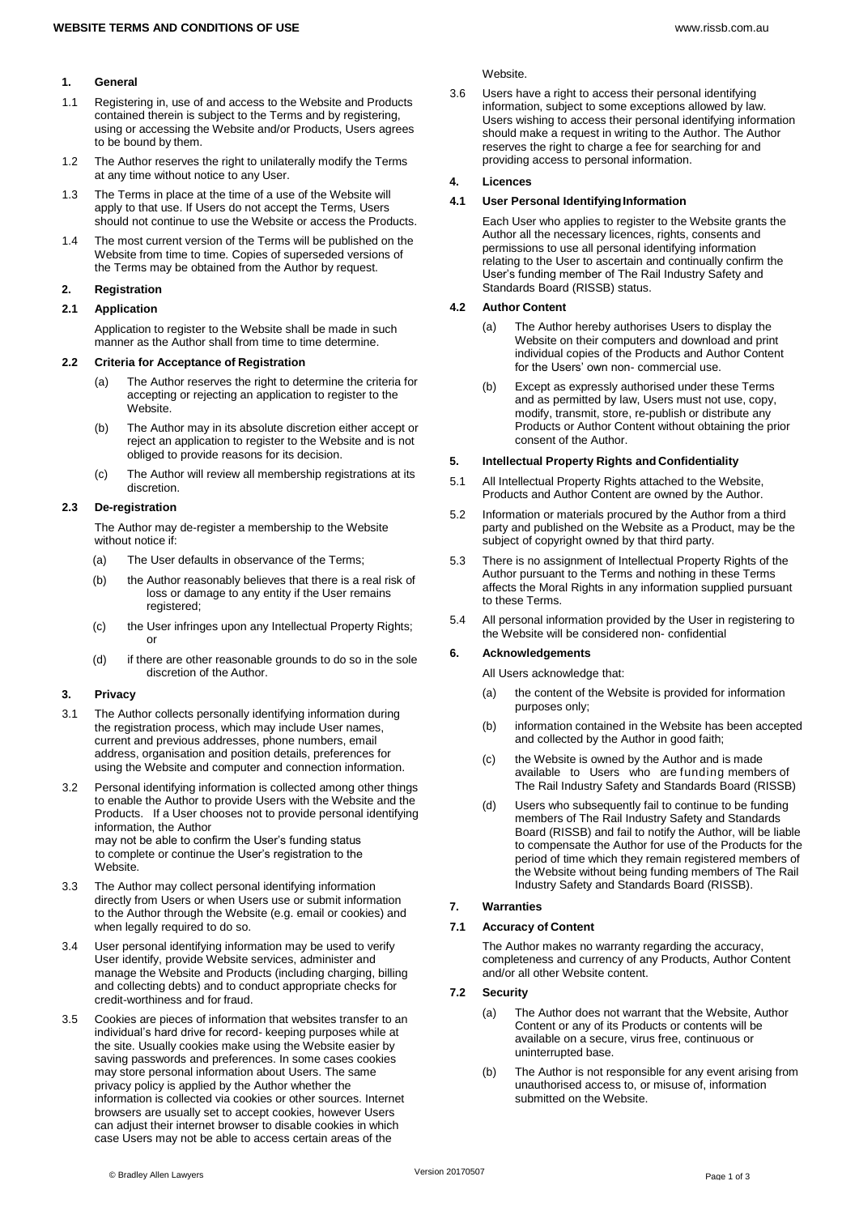## **1. General**

- 1.1 Registering in, use of and access to the Website and Products contained therein is subject to the Terms and by registering, using or accessing the Website and/or Products, Users agrees to be bound by them.
- 1.2 The Author reserves the right to unilaterally modify the Terms at any time without notice to any User.
- 1.3 The Terms in place at the time of a use of the Website will apply to that use. If Users do not accept the Terms, Users should not continue to use the Website or access the Products.
- 1.4 The most current version of the Terms will be published on the Website from time to time. Copies of superseded versions of the Terms may be obtained from the Author by request.

# **2. Registration**

# **2.1 Application**

Application to register to the Website shall be made in such manner as the Author shall from time to time determine.

# **2.2 Criteria for Acceptance of Registration**

- (a) The Author reserves the right to determine the criteria for accepting or rejecting an application to register to the Website.
- (b) The Author may in its absolute discretion either accept or reject an application to register to the Website and is not obliged to provide reasons for its decision.
- (c) The Author will review all membership registrations at its discretion.

# **2.3 De-registration**

The Author may de-register a membership to the Website without notice if:

- (a) The User defaults in observance of the Terms;
- (b) the Author reasonably believes that there is a real risk of loss or damage to any entity if the User remains registered;
- (c) the User infringes upon any Intellectual Property Rights; or
- (d) if there are other reasonable grounds to do so in the sole discretion of the Author.

# **3. Privacy**

- 3.1 The Author collects personally identifying information during the registration process, which may include User names, current and previous addresses, phone numbers, email address, organisation and position details, preferences for using the Website and computer and connection information.
- 3.2 Personal identifying information is collected among other things to enable the Author to provide Users with the Website and the Products. If a User chooses not to provide personal identifying information, the Author may not be able to confirm the User's funding status to complete or continue the User's registration to the Website.
- 3.3 The Author may collect personal identifying information directly from Users or when Users use or submit information to the Author through the Website (e.g. email or cookies) and when legally required to do so.
- 3.4 User personal identifying information may be used to verify User identify, provide Website services, administer and manage the Website and Products (including charging, billing and collecting debts) and to conduct appropriate checks for credit-worthiness and for fraud.
- 3.5 Cookies are pieces of information that websites transfer to an individual's hard drive for record- keeping purposes while at the site. Usually cookies make using the Website easier by saving passwords and preferences. In some cases cookies may store personal information about Users. The same privacy policy is applied by the Author whether the information is collected via cookies or other sources. Internet browsers are usually set to accept cookies, however Users can adjust their internet browser to disable cookies in which case Users may not be able to access certain areas of the

3.6 Users have a right to access their personal identifying information, subject to some exceptions allowed by law. Users wishing to access their personal identifying information should make a request in writing to the Author. The Author reserves the right to charge a fee for searching for and providing access to personal information.

# **4. Licences**

# **4.1 User Personal IdentifyingInformation**

Each User who applies to register to the Website grants the Author all the necessary licences, rights, consents and permissions to use all personal identifying information relating to the User to ascertain and continually confirm the User's funding member of The Rail Industry Safety and Standards Board (RISSB) status.

# **4.2 Author Content**

- (a) The Author hereby authorises Users to display the Website on their computers and download and print individual copies of the Products and Author Content for the Users' own non- commercial use.
- (b) Except as expressly authorised under these Terms and as permitted by law, Users must not use, copy, modify, transmit, store, re-publish or distribute any Products or Author Content without obtaining the prior consent of the Author.

### **5. Intellectual Property Rights and Confidentiality**

- 5.1 All Intellectual Property Rights attached to the Website, Products and Author Content are owned by the Author.
- 5.2 Information or materials procured by the Author from a third party and published on the Website as a Product, may be the subject of copyright owned by that third party.
- 5.3 There is no assignment of Intellectual Property Rights of the Author pursuant to the Terms and nothing in these Terms affects the Moral Rights in any information supplied pursuant to these Terms.
- 5.4 All personal information provided by the User in registering to the Website will be considered non- confidential

# **6. Acknowledgements**

All Users acknowledge that:

- (a) the content of the Website is provided for information purposes only;
- (b) information contained in the Website has been accepted and collected by the Author in good faith;
- (c) the Website is owned by the Author and is made available to Users who are funding members of The Rail Industry Safety and Standards Board (RISSB)
- (d) Users who subsequently fail to continue to be funding members of The Rail Industry Safety and Standards Board (RISSB) and fail to notify the Author, will be liable to compensate the Author for use of the Products for the period of time which they remain registered members of the Website without being funding members of The Rail Industry Safety and Standards Board (RISSB).

# **7. Warranties**

### **7.1 Accuracy of Content**

The Author makes no warranty regarding the accuracy, completeness and currency of any Products, Author Content and/or all other Website content.

# **7.2 Security**

- (a) The Author does not warrant that the Website, Author Content or any of its Products or contents will be available on a secure, virus free, continuous or uninterrupted base.
- (b) The Author is not responsible for any event arising from unauthorised access to, or misuse of, information submitted on the Website.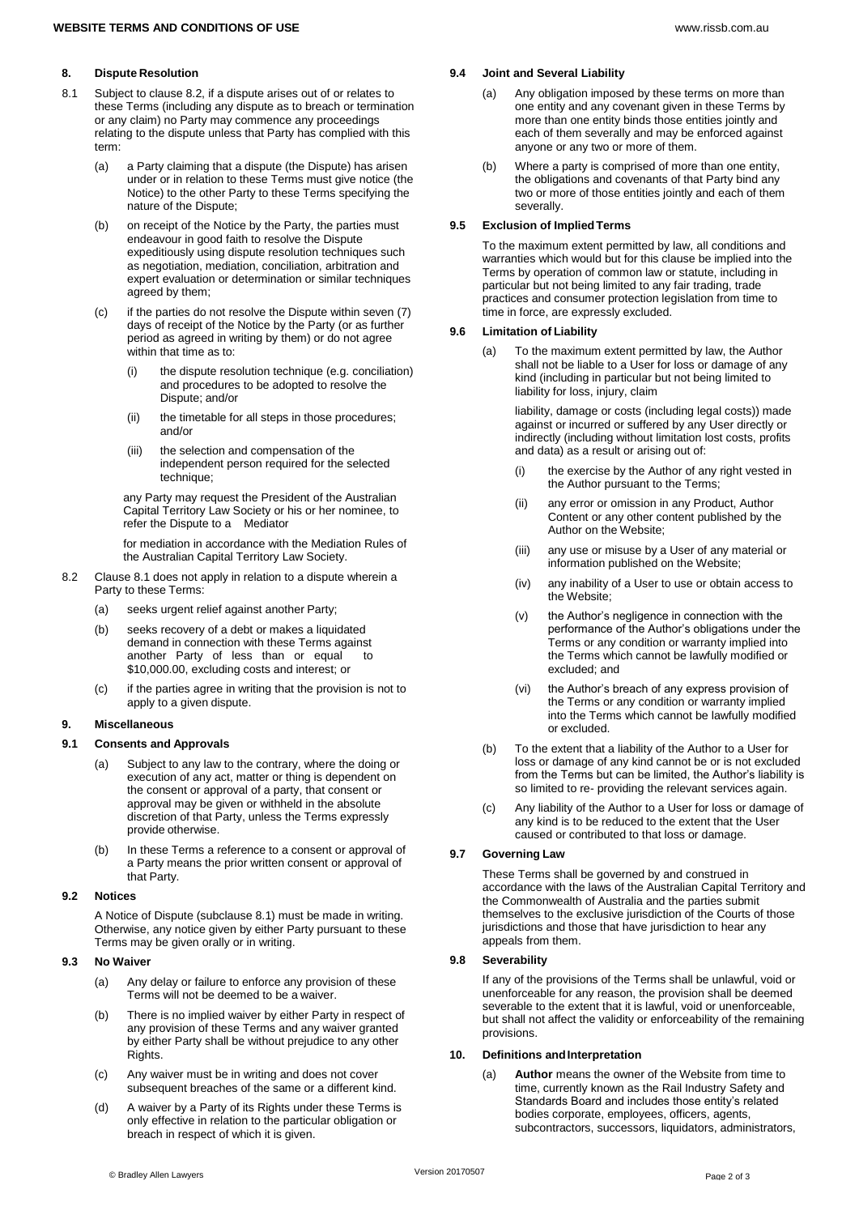# **8. Dispute Resolution**

- 8.1 Subject to clause 8.2, if a dispute arises out of or relates to these Terms (including any dispute as to breach or termination or any claim) no Party may commence any proceedings relating to the dispute unless that Party has complied with this term:
	- (a) a Party claiming that a dispute (the Dispute) has arisen under or in relation to these Terms must give notice (the Notice) to the other Party to these Terms specifying the nature of the Dispute;
	- (b) on receipt of the Notice by the Party, the parties must endeavour in good faith to resolve the Dispute expeditiously using dispute resolution techniques such as negotiation, mediation, conciliation, arbitration and expert evaluation or determination or similar techniques agreed by them;
	- (c) if the parties do not resolve the Dispute within seven (7) days of receipt of the Notice by the Party (or as further period as agreed in writing by them) or do not agree within that time as to:
		- (i) the dispute resolution technique (e.g. conciliation) and procedures to be adopted to resolve the Dispute; and/or
		- (ii) the timetable for all steps in those procedures; and/or
		- (iii) the selection and compensation of the independent person required for the selected technique;

any Party may request the President of the Australian Capital Territory Law Society or his or her nominee, to refer the Dispute to a Mediator

for mediation in accordance with the Mediation Rules of the Australian Capital Territory Law Society.

- 8.2 Clause 8.1 does not apply in relation to a dispute wherein a Party to these Terms:
	- (a) seeks urgent relief against another Party;
	- (b) seeks recovery of a debt or makes a liquidated demand in connection with these Terms against another Party of less than or equal to \$10,000.00, excluding costs and interest; or
	- (c) if the parties agree in writing that the provision is not to apply to a given dispute.

### **9. Miscellaneous**

### **9.1 Consents and Approvals**

- Subject to any law to the contrary, where the doing or execution of any act, matter or thing is dependent on the consent or approval of a party, that consent or approval may be given or withheld in the absolute discretion of that Party, unless the Terms expressly provide otherwise.
- (b) In these Terms a reference to a consent or approval of a Party means the prior written consent or approval of that Party.

#### **9.2 Notices**

A Notice of Dispute (subclause 8.1) must be made in writing. Otherwise, any notice given by either Party pursuant to these Terms may be given orally or in writing.

## **9.3 No Waiver**

- (a) Any delay or failure to enforce any provision of these Terms will not be deemed to be a waiver.
- (b) There is no implied waiver by either Party in respect of any provision of these Terms and any waiver granted by either Party shall be without prejudice to any other Rights.
- (c) Any waiver must be in writing and does not cover subsequent breaches of the same or a different kind.
- (d) A waiver by a Party of its Rights under these Terms is only effective in relation to the particular obligation or breach in respect of which it is given.

### **9.4 Joint and Several Liability**

- (a) Any obligation imposed by these terms on more than one entity and any covenant given in these Terms by more than one entity binds those entities jointly and each of them severally and may be enforced against anyone or any two or more of them.
- (b) Where a party is comprised of more than one entity, the obligations and covenants of that Party bind any two or more of those entities jointly and each of them severally.

## **9.5 Exclusion of ImpliedTerms**

To the maximum extent permitted by law, all conditions and warranties which would but for this clause be implied into the Terms by operation of common law or statute, including in particular but not being limited to any fair trading, trade practices and consumer protection legislation from time to time in force, are expressly excluded.

### **9.6 Limitation of Liability**

(a) To the maximum extent permitted by law, the Author shall not be liable to a User for loss or damage of any kind (including in particular but not being limited to liability for loss, injury, claim

> liability, damage or costs (including legal costs)) made against or incurred or suffered by any User directly or indirectly (including without limitation lost costs, profits and data) as a result or arising out of:

- (i) the exercise by the Author of any right vested in the Author pursuant to the Terms;
- (ii) any error or omission in any Product, Author Content or any other content published by the Author on the Website;
- (iii) any use or misuse by a User of any material or information published on the Website;
- (iv) any inability of a User to use or obtain access to the Website;
- (v) the Author's negligence in connection with the performance of the Author's obligations under the Terms or any condition or warranty implied into the Terms which cannot be lawfully modified or excluded; and
- (vi) the Author's breach of any express provision of the Terms or any condition or warranty implied into the Terms which cannot be lawfully modified or excluded.
- (b) To the extent that a liability of the Author to a User for loss or damage of any kind cannot be or is not excluded from the Terms but can be limited, the Author's liability is so limited to re- providing the relevant services again.
- (c) Any liability of the Author to a User for loss or damage of any kind is to be reduced to the extent that the User caused or contributed to that loss or damage.

### **9.7 Governing Law**

These Terms shall be governed by and construed in accordance with the laws of the Australian Capital Territory and the Commonwealth of Australia and the parties submit themselves to the exclusive jurisdiction of the Courts of those jurisdictions and those that have jurisdiction to hear any appeals from them.

### **9.8 Severability**

If any of the provisions of the Terms shall be unlawful, void or unenforceable for any reason, the provision shall be deemed severable to the extent that it is lawful, void or unenforceable, but shall not affect the validity or enforceability of the remaining provisions.

## **10. Definitions andInterpretation**

(a) **Author** means the owner of the Website from time to time, currently known as the Rail Industry Safety and Standards Board and includes those entity's related bodies corporate, employees, officers, agents, subcontractors, successors, liquidators, administrators,